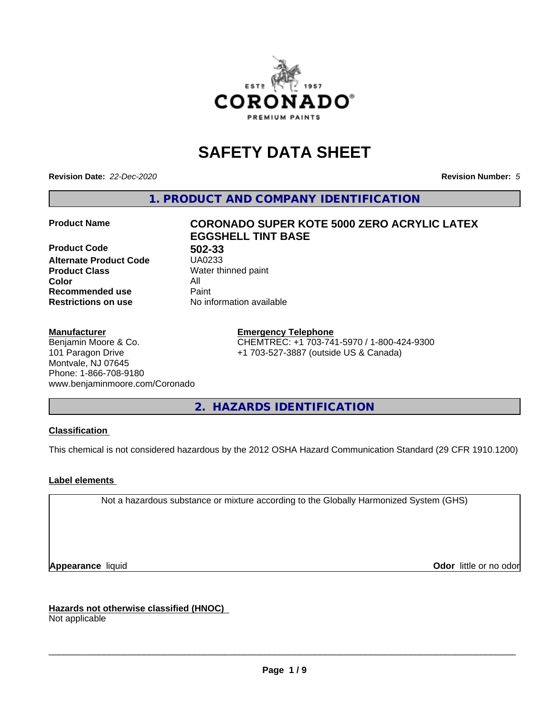

# **SAFETY DATA SHEET**

**Revision Date:** *22-Dec-2020* **Revision Number:** *5*

**1. PRODUCT AND COMPANY IDENTIFICATION**

**Product Code 502-33 Alternate Product Code Product Class** Water thinned paint<br> **Color** All **Color** All **Recommended use Caint Restrictions on use** No information available

## **Product Name CORONADO SUPER KOTE 5000 ZERO ACRYLIC LATEX EGGSHELL TINT BASE**

#### **Manufacturer**

Benjamin Moore & Co. 101 Paragon Drive Montvale, NJ 07645 Phone: 1-866-708-9180 www.benjaminmoore.com/Coronado

#### **Emergency Telephone**

CHEMTREC: +1 703-741-5970 / 1-800-424-9300 +1 703-527-3887 (outside US & Canada)

**2. HAZARDS IDENTIFICATION**

#### **Classification**

This chemical is not considered hazardous by the 2012 OSHA Hazard Communication Standard (29 CFR 1910.1200)

#### **Label elements**

Not a hazardous substance or mixture according to the Globally Harmonized System (GHS)

**Appearance** liquid **Contract Contract Contract Contract Contract Contract Contract Contract Contract Contract Contract Contract Contract Contract Contract Contract Contract Contract Contract Contract Contract Contract Con** 

**Hazards not otherwise classified (HNOC)**

Not applicable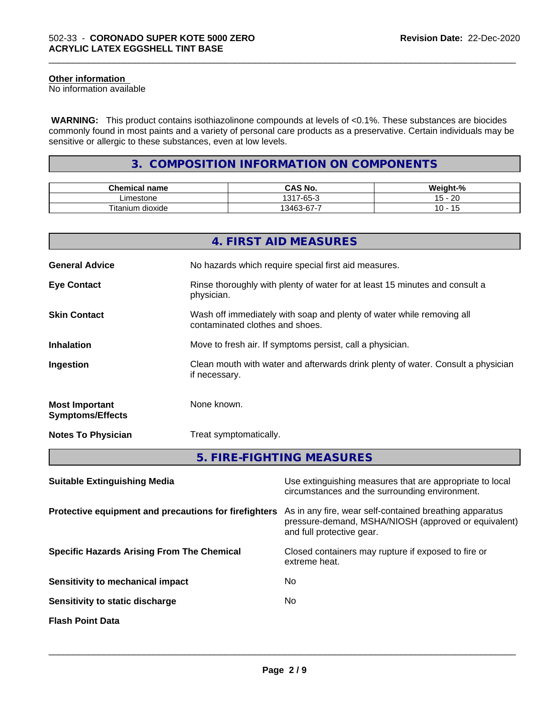#### **Other information**

No information available

 **WARNING:** This product contains isothiazolinone compounds at levels of <0.1%. These substances are biocides commonly found in most paints and a variety of personal care products as a preservative. Certain individuals may be sensitive or allergic to these substances, even at low levels.

\_\_\_\_\_\_\_\_\_\_\_\_\_\_\_\_\_\_\_\_\_\_\_\_\_\_\_\_\_\_\_\_\_\_\_\_\_\_\_\_\_\_\_\_\_\_\_\_\_\_\_\_\_\_\_\_\_\_\_\_\_\_\_\_\_\_\_\_\_\_\_\_\_\_\_\_\_\_\_\_\_\_\_\_\_\_\_\_\_\_\_\_\_

## **3. COMPOSITION INFORMATION ON COMPONENTS**

| <b>Chemical name</b>           | $\sim$ 11<br>$\mathbf{a}$<br>CAS No. | <br>∵veight-"<br>-70 |
|--------------------------------|--------------------------------------|----------------------|
| imestone                       | $\sim$<br>1317<br>$-65-$             | ററ<br>. .<br>∼<br>J  |
| Titanium<br><br>. .<br>dioxide | $\sim$<br>-<br>13462<br>-07-د        | È                    |

|                                                  | 4. FIRST AID MEASURES                                                                                    |
|--------------------------------------------------|----------------------------------------------------------------------------------------------------------|
| <b>General Advice</b>                            | No hazards which require special first aid measures.                                                     |
| <b>Eye Contact</b>                               | Rinse thoroughly with plenty of water for at least 15 minutes and consult a<br>physician.                |
| <b>Skin Contact</b>                              | Wash off immediately with soap and plenty of water while removing all<br>contaminated clothes and shoes. |
| <b>Inhalation</b>                                | Move to fresh air. If symptoms persist, call a physician.                                                |
| Ingestion                                        | Clean mouth with water and afterwards drink plenty of water. Consult a physician<br>if necessary.        |
| <b>Most Important</b><br><b>Symptoms/Effects</b> | None known.                                                                                              |
| <b>Notes To Physician</b>                        | Treat symptomatically.                                                                                   |
|                                                  | 5. FIRE-FIGHTING MEASURES                                                                                |

| <b>Suitable Extinguishing Media</b>                   | Use extinguishing measures that are appropriate to local<br>circumstances and the surrounding environment.                                   |
|-------------------------------------------------------|----------------------------------------------------------------------------------------------------------------------------------------------|
| Protective equipment and precautions for firefighters | As in any fire, wear self-contained breathing apparatus<br>pressure-demand, MSHA/NIOSH (approved or equivalent)<br>and full protective gear. |
| <b>Specific Hazards Arising From The Chemical</b>     | Closed containers may rupture if exposed to fire or<br>extreme heat.                                                                         |
| Sensitivity to mechanical impact                      | No.                                                                                                                                          |
| Sensitivity to static discharge                       | No.                                                                                                                                          |
| <b>Flash Point Data</b>                               |                                                                                                                                              |
|                                                       |                                                                                                                                              |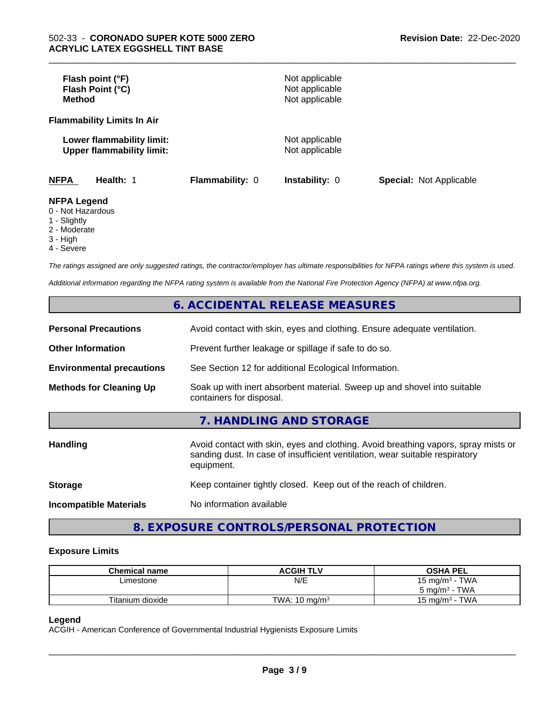| Flash point (°F)<br>Flash Point (°C)<br><b>Method</b>         |                 | Not applicable<br>Not applicable<br>Not applicable |                                |
|---------------------------------------------------------------|-----------------|----------------------------------------------------|--------------------------------|
| <b>Flammability Limits In Air</b>                             |                 |                                                    |                                |
| Lower flammability limit:<br><b>Upper flammability limit:</b> |                 | Not applicable<br>Not applicable                   |                                |
| <b>NFPA</b><br>Health: 1                                      | Flammability: 0 | <b>Instability: 0</b>                              | <b>Special: Not Applicable</b> |
| <b>NFPA Legend</b><br>0 - Not Hazardous<br>1 Clinhthy         |                 |                                                    |                                |

\_\_\_\_\_\_\_\_\_\_\_\_\_\_\_\_\_\_\_\_\_\_\_\_\_\_\_\_\_\_\_\_\_\_\_\_\_\_\_\_\_\_\_\_\_\_\_\_\_\_\_\_\_\_\_\_\_\_\_\_\_\_\_\_\_\_\_\_\_\_\_\_\_\_\_\_\_\_\_\_\_\_\_\_\_\_\_\_\_\_\_\_\_

- 1 Slightly 2 - Moderate
- 3 High
- 
- 4 Severe

*The ratings assigned are only suggested ratings, the contractor/employer has ultimate responsibilities for NFPA ratings where this system is used.*

*Additional information regarding the NFPA rating system is available from the National Fire Protection Agency (NFPA) at www.nfpa.org.*

### **6. ACCIDENTAL RELEASE MEASURES**

| <b>Personal Precautions</b>      | Avoid contact with skin, eyes and clothing. Ensure adequate ventilation.                                                                                                         |  |  |
|----------------------------------|----------------------------------------------------------------------------------------------------------------------------------------------------------------------------------|--|--|
| <b>Other Information</b>         | Prevent further leakage or spillage if safe to do so.                                                                                                                            |  |  |
| <b>Environmental precautions</b> | See Section 12 for additional Ecological Information.                                                                                                                            |  |  |
| <b>Methods for Cleaning Up</b>   | Soak up with inert absorbent material. Sweep up and shovel into suitable<br>containers for disposal.                                                                             |  |  |
|                                  | 7. HANDLING AND STORAGE                                                                                                                                                          |  |  |
| Handling                         | Avoid contact with skin, eyes and clothing. Avoid breathing vapors, spray mists or<br>sanding dust. In case of insufficient ventilation, wear suitable respiratory<br>equipment. |  |  |
| <b>Storage</b>                   | Keep container tightly closed. Keep out of the reach of children.                                                                                                                |  |  |
| <b>Incompatible Materials</b>    | No information available                                                                                                                                                         |  |  |

## **8. EXPOSURE CONTROLS/PERSONAL PROTECTION**

#### **Exposure Limits**

| <b>Chemical name</b> | <b>ACGIH TLV</b>         | <b>OSHA PEL</b>                    |
|----------------------|--------------------------|------------------------------------|
| Limestone            | N/E                      | · TWA<br>15 mg/m <sup>3</sup>      |
|                      |                          | <b>TWA</b><br>$5 \text{ ma/m}^3$ - |
| Titanium dioxide     | TWA: $10 \text{ ma/m}^3$ | <b>TWA</b><br>15 ma/m $^3$         |

#### **Legend**

ACGIH - American Conference of Governmental Industrial Hygienists Exposure Limits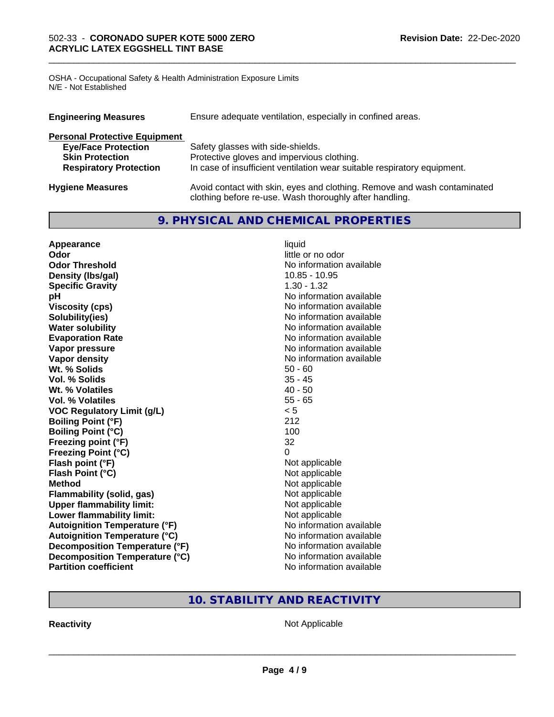OSHA - Occupational Safety & Health Administration Exposure Limits N/E - Not Established

| Ensure adequate ventilation, especially in confined areas.<br><b>Engineering Measures</b> |                                                                                                                                     |  |
|-------------------------------------------------------------------------------------------|-------------------------------------------------------------------------------------------------------------------------------------|--|
| <b>Personal Protective Equipment</b>                                                      |                                                                                                                                     |  |
| <b>Eye/Face Protection</b>                                                                | Safety glasses with side-shields.                                                                                                   |  |
| <b>Skin Protection</b>                                                                    | Protective gloves and impervious clothing.                                                                                          |  |
| <b>Respiratory Protection</b>                                                             | In case of insufficient ventilation wear suitable respiratory equipment.                                                            |  |
| <b>Hygiene Measures</b>                                                                   | Avoid contact with skin, eyes and clothing. Remove and wash contaminated<br>clothing before re-use. Wash thoroughly after handling. |  |

\_\_\_\_\_\_\_\_\_\_\_\_\_\_\_\_\_\_\_\_\_\_\_\_\_\_\_\_\_\_\_\_\_\_\_\_\_\_\_\_\_\_\_\_\_\_\_\_\_\_\_\_\_\_\_\_\_\_\_\_\_\_\_\_\_\_\_\_\_\_\_\_\_\_\_\_\_\_\_\_\_\_\_\_\_\_\_\_\_\_\_\_\_

## **9. PHYSICAL AND CHEMICAL PROPERTIES**

| Appearance                           | liquid                   |
|--------------------------------------|--------------------------|
| Odor                                 | little or no odor        |
| <b>Odor Threshold</b>                | No information available |
| Density (Ibs/gal)                    | 10.85 - 10.95            |
| <b>Specific Gravity</b>              | $1.30 - 1.32$            |
| pH                                   | No information available |
| <b>Viscosity (cps)</b>               | No information available |
| Solubility(ies)                      | No information available |
| <b>Water solubility</b>              | No information available |
| <b>Evaporation Rate</b>              | No information available |
| Vapor pressure                       | No information available |
| Vapor density                        | No information available |
| Wt. % Solids                         | $50 - 60$                |
| <b>Vol. % Solids</b>                 | $35 - 45$                |
| Wt. % Volatiles                      | $40 - 50$                |
| Vol. % Volatiles                     | $55 - 65$                |
| <b>VOC Regulatory Limit (g/L)</b>    | < 5                      |
| <b>Boiling Point (°F)</b>            | 212                      |
| <b>Boiling Point (°C)</b>            | 100                      |
| Freezing point (°F)                  | 32                       |
| <b>Freezing Point (°C)</b>           | 0                        |
| Flash point (°F)                     | Not applicable           |
| Flash Point (°C)                     | Not applicable           |
| <b>Method</b>                        | Not applicable           |
| <b>Flammability (solid, gas)</b>     | Not applicable           |
| <b>Upper flammability limit:</b>     | Not applicable           |
| Lower flammability limit:            | Not applicable           |
| <b>Autoignition Temperature (°F)</b> | No information available |
| <b>Autoignition Temperature (°C)</b> | No information available |
| Decomposition Temperature (°F)       | No information available |
| Decomposition Temperature (°C)       | No information available |
| <b>Partition coefficient</b>         | No information available |

## **10. STABILITY AND REACTIVITY**

**Reactivity Not Applicable** Not Applicable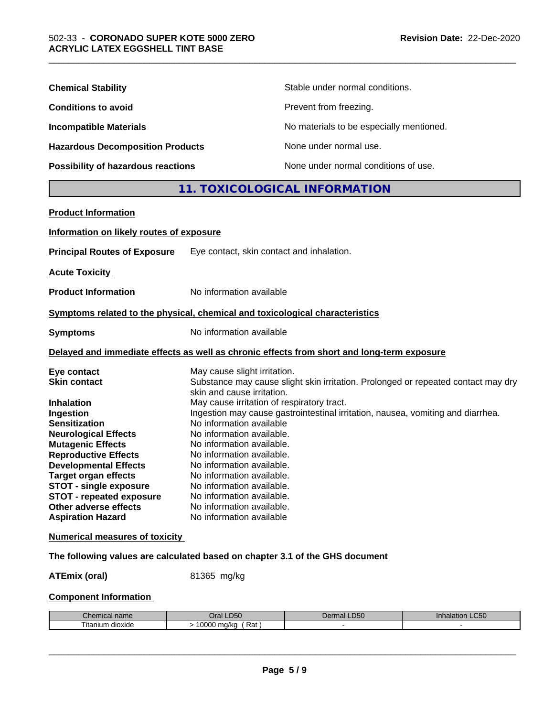| <b>Chemical Stability</b>               | Stable under normal conditions.          |
|-----------------------------------------|------------------------------------------|
| <b>Conditions to avoid</b>              | Prevent from freezing.                   |
| <b>Incompatible Materials</b>           | No materials to be especially mentioned. |
| <b>Hazardous Decomposition Products</b> | None under normal use.                   |
| Possibility of hazardous reactions      | None under normal conditions of use.     |

## **11. TOXICOLOGICAL INFORMATION**

| Information on likely routes of exposure                                                                        |
|-----------------------------------------------------------------------------------------------------------------|
| Eye contact, skin contact and inhalation.                                                                       |
|                                                                                                                 |
| No information available                                                                                        |
| Symptoms related to the physical, chemical and toxicological characteristics                                    |
| No information available                                                                                        |
| Delayed and immediate effects as well as chronic effects from short and long-term exposure                      |
| May cause slight irritation.                                                                                    |
| Substance may cause slight skin irritation. Prolonged or repeated contact may dry<br>skin and cause irritation. |
| May cause irritation of respiratory tract.                                                                      |
| Ingestion may cause gastrointestinal irritation, nausea, vomiting and diarrhea.                                 |
| No information available                                                                                        |
| No information available.                                                                                       |
| No information available.                                                                                       |
| No information available.                                                                                       |
| No information available.                                                                                       |
| No information available.                                                                                       |
| No information available.                                                                                       |
| No information available.                                                                                       |
| No information available.                                                                                       |
| No information available                                                                                        |
| <b>Numerical measures of toxicity</b>                                                                           |
| The following values are calculated based on chapter 3.1 of the GHS document                                    |
|                                                                                                                 |

**ATEmix (oral)** 81365 mg/kg

### **Component Information**

| nhon<br>hemical name<br>. | LD50<br>Dral          | DEC<br>Dermal<br>-רים | LC <sub>50</sub><br>innalation |
|---------------------------|-----------------------|-----------------------|--------------------------------|
| ⊧ dioxide<br>litanium     | 10000<br>Rat<br>ma/ka |                       |                                |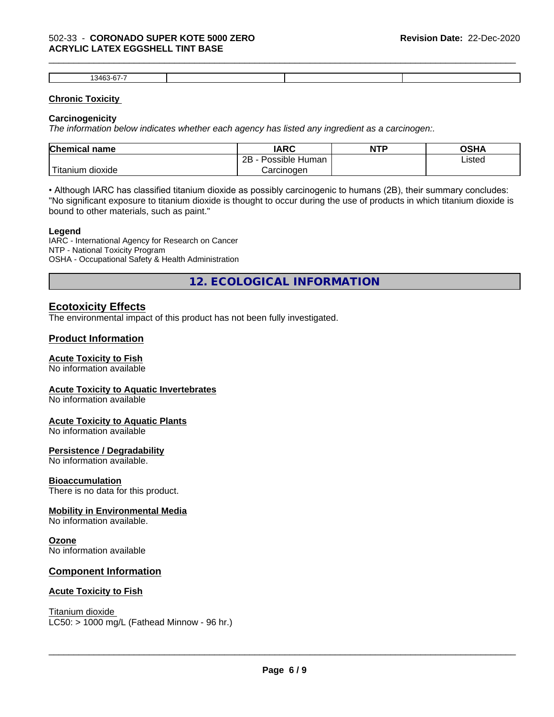#### 502-33 - **CORONADO SUPER KOTE 5000 ZERO ACRYLIC LATEX EGGSHELL TINT BASE**

| . $346^\circ$ |  |  |
|---------------|--|--|

\_\_\_\_\_\_\_\_\_\_\_\_\_\_\_\_\_\_\_\_\_\_\_\_\_\_\_\_\_\_\_\_\_\_\_\_\_\_\_\_\_\_\_\_\_\_\_\_\_\_\_\_\_\_\_\_\_\_\_\_\_\_\_\_\_\_\_\_\_\_\_\_\_\_\_\_\_\_\_\_\_\_\_\_\_\_\_\_\_\_\_\_\_

#### **Chronic Toxicity**

#### **Carcinogenicity**

*The information below indicateswhether each agency has listed any ingredient as a carcinogen:.*

| <b>Chemical name</b>             | <b>IARC</b>                      | <b>NTP</b> | OSHA   |
|----------------------------------|----------------------------------|------------|--------|
|                                  | . .<br>2B<br>: Human<br>Possible |            | Listed |
| .<br>, dioxide<br><b>itanium</b> | Carcinoɑen                       |            |        |

• Although IARC has classified titanium dioxide as possibly carcinogenic to humans (2B), their summary concludes: "No significant exposure to titanium dioxide is thought to occur during the use of products in which titanium dioxide is bound to other materials, such as paint."

#### **Legend**

IARC - International Agency for Research on Cancer NTP - National Toxicity Program OSHA - Occupational Safety & Health Administration

**12. ECOLOGICAL INFORMATION**

#### **Ecotoxicity Effects**

The environmental impact of this product has not been fully investigated.

#### **Product Information**

#### **Acute Toxicity to Fish**

No information available

#### **Acute Toxicity to Aquatic Invertebrates**

No information available

#### **Acute Toxicity to Aquatic Plants**

No information available

#### **Persistence / Degradability**

No information available.

#### **Bioaccumulation**

There is no data for this product.

#### **Mobility in Environmental Media**

No information available.

#### **Ozone**

No information available

#### **Component Information**

#### **Acute Toxicity to Fish**

Titanium dioxide  $LC50:$  > 1000 mg/L (Fathead Minnow - 96 hr.)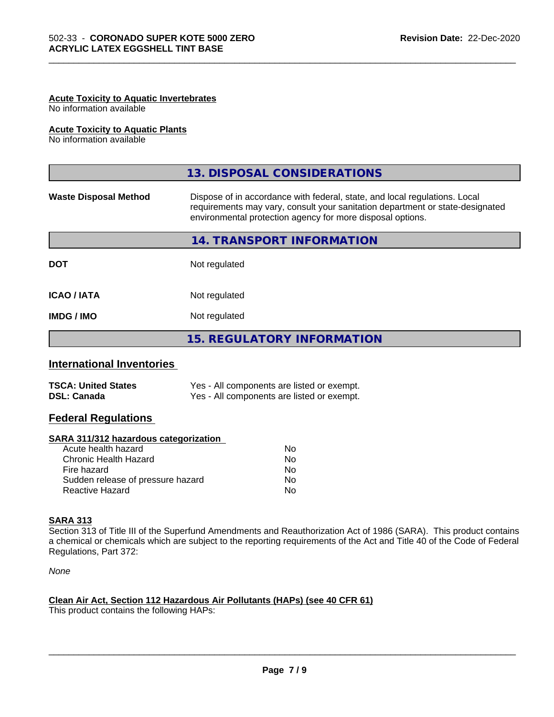### **Acute Toxicity to Aquatic Invertebrates**

No information available

#### **Acute Toxicity to Aquatic Plants**

No information available

|                              | 13. DISPOSAL CONSIDERATIONS                                                                                                                                                                                               |  |
|------------------------------|---------------------------------------------------------------------------------------------------------------------------------------------------------------------------------------------------------------------------|--|
| <b>Waste Disposal Method</b> | Dispose of in accordance with federal, state, and local regulations. Local<br>requirements may vary, consult your sanitation department or state-designated<br>environmental protection agency for more disposal options. |  |
|                              | 14. TRANSPORT INFORMATION                                                                                                                                                                                                 |  |
| <b>DOT</b>                   | Not regulated                                                                                                                                                                                                             |  |
| <b>ICAO/IATA</b>             | Not regulated                                                                                                                                                                                                             |  |
| <b>IMDG/IMO</b>              | Not regulated                                                                                                                                                                                                             |  |
|                              | <b>15. REGULATORY INFORMATION</b>                                                                                                                                                                                         |  |

\_\_\_\_\_\_\_\_\_\_\_\_\_\_\_\_\_\_\_\_\_\_\_\_\_\_\_\_\_\_\_\_\_\_\_\_\_\_\_\_\_\_\_\_\_\_\_\_\_\_\_\_\_\_\_\_\_\_\_\_\_\_\_\_\_\_\_\_\_\_\_\_\_\_\_\_\_\_\_\_\_\_\_\_\_\_\_\_\_\_\_\_\_

#### **International Inventories**

| <b>TSCA: United States</b> | Yes - All components are listed or exempt. |
|----------------------------|--------------------------------------------|
| <b>DSL: Canada</b>         | Yes - All components are listed or exempt. |

#### **Federal Regulations**

#### **SARA 311/312 hazardous categorization**

| No |
|----|
| Nο |
| No |
| Nο |
| N٥ |
|    |

#### **SARA 313**

Section 313 of Title III of the Superfund Amendments and Reauthorization Act of 1986 (SARA). This product contains a chemical or chemicals which are subject to the reporting requirements of the Act and Title 40 of the Code of Federal Regulations, Part 372:

*None*

#### **Clean Air Act,Section 112 Hazardous Air Pollutants (HAPs) (see 40 CFR 61)**

This product contains the following HAPs: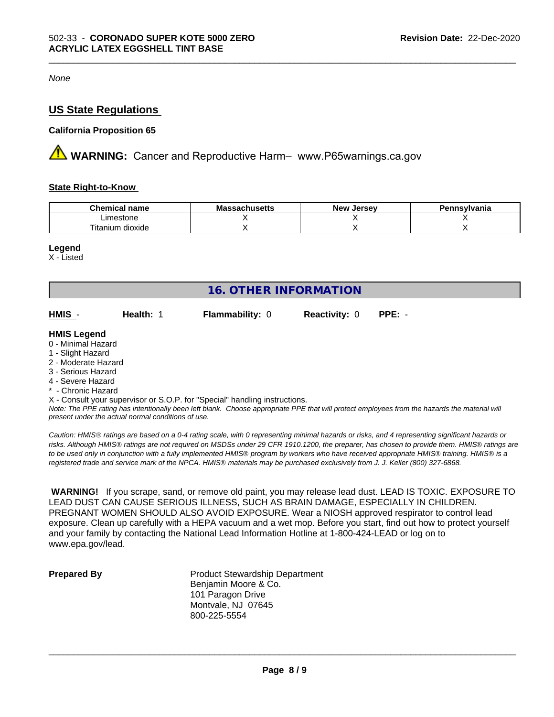*None*

### **US State Regulations**

#### **California Proposition 65**

**AN** WARNING: Cancer and Reproductive Harm– www.P65warnings.ca.gov

#### **State Right-to-Know**

| <b>Chemical</b><br>name            | .<br><b>IVIC</b><br>นบเนวษแอ | <b>Jerse</b> v<br>Nev | าnsvlvania |
|------------------------------------|------------------------------|-----------------------|------------|
| estone<br>.ımes                    |                              |                       |            |
| .<br>--<br>dioxide<br>ιm<br>itanit |                              |                       |            |

\_\_\_\_\_\_\_\_\_\_\_\_\_\_\_\_\_\_\_\_\_\_\_\_\_\_\_\_\_\_\_\_\_\_\_\_\_\_\_\_\_\_\_\_\_\_\_\_\_\_\_\_\_\_\_\_\_\_\_\_\_\_\_\_\_\_\_\_\_\_\_\_\_\_\_\_\_\_\_\_\_\_\_\_\_\_\_\_\_\_\_\_\_

#### **Legend**

X - Listed

| 16. OTHER INFORMATION                                                                                                                                 |                                                    |                                                                            |                      |                                                                                                                                               |
|-------------------------------------------------------------------------------------------------------------------------------------------------------|----------------------------------------------------|----------------------------------------------------------------------------|----------------------|-----------------------------------------------------------------------------------------------------------------------------------------------|
| HMIS -                                                                                                                                                | Health: 1                                          | <b>Flammability: 0</b>                                                     | <b>Reactivity: 0</b> | $PPE: -$                                                                                                                                      |
| <b>HMIS Legend</b><br>0 - Minimal Hazard<br>1 - Slight Hazard<br>2 - Moderate Hazard<br>3 - Serious Hazard<br>4 - Severe Hazard<br>* - Chronic Hazard | present under the actual normal conditions of use. | X - Consult your supervisor or S.O.P. for "Special" handling instructions. |                      | Note: The PPE rating has intentionally been left blank. Choose appropriate PPE that will protect employees from the hazards the material will |

*Caution: HMISÒ ratings are based on a 0-4 rating scale, with 0 representing minimal hazards or risks, and 4 representing significant hazards or risks. Although HMISÒ ratings are not required on MSDSs under 29 CFR 1910.1200, the preparer, has chosen to provide them. HMISÒ ratings are to be used only in conjunction with a fully implemented HMISÒ program by workers who have received appropriate HMISÒ training. HMISÒ is a registered trade and service mark of the NPCA. HMISÒ materials may be purchased exclusively from J. J. Keller (800) 327-6868.*

 **WARNING!** If you scrape, sand, or remove old paint, you may release lead dust. LEAD IS TOXIC. EXPOSURE TO LEAD DUST CAN CAUSE SERIOUS ILLNESS, SUCH AS BRAIN DAMAGE, ESPECIALLY IN CHILDREN. PREGNANT WOMEN SHOULD ALSO AVOID EXPOSURE. Wear a NIOSH approved respirator to control lead exposure. Clean up carefully with a HEPA vacuum and a wet mop. Before you start, find out how to protect yourself and your family by contacting the National Lead Information Hotline at 1-800-424-LEAD or log on to www.epa.gov/lead.

**Prepared By** Product Stewardship Department Benjamin Moore & Co. 101 Paragon Drive Montvale, NJ 07645 800-225-5554